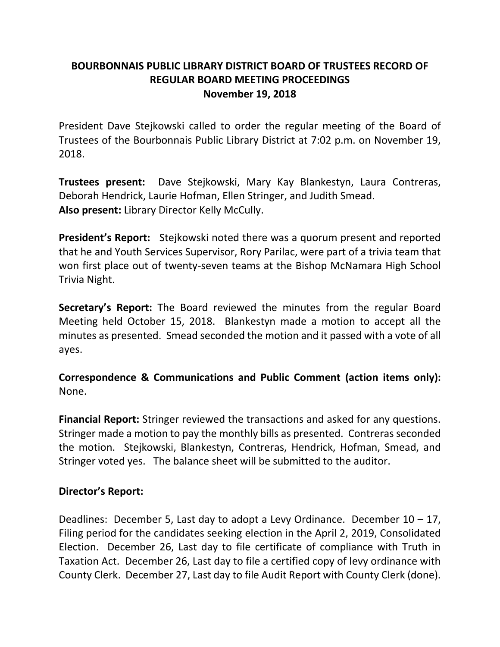## **BOURBONNAIS PUBLIC LIBRARY DISTRICT BOARD OF TRUSTEES RECORD OF REGULAR BOARD MEETING PROCEEDINGS November 19, 2018**

President Dave Stejkowski called to order the regular meeting of the Board of Trustees of the Bourbonnais Public Library District at 7:02 p.m. on November 19, 2018.

**Trustees present:** Dave Stejkowski, Mary Kay Blankestyn, Laura Contreras, Deborah Hendrick, Laurie Hofman, Ellen Stringer, and Judith Smead. **Also present:** Library Director Kelly McCully.

**President's Report:** Stejkowski noted there was a quorum present and reported that he and Youth Services Supervisor, Rory Parilac, were part of a trivia team that won first place out of twenty-seven teams at the Bishop McNamara High School Trivia Night.

**Secretary's Report:** The Board reviewed the minutes from the regular Board Meeting held October 15, 2018. Blankestyn made a motion to accept all the minutes as presented. Smead seconded the motion and it passed with a vote of all ayes.

**Correspondence & Communications and Public Comment (action items only):** None.

**Financial Report:** Stringer reviewed the transactions and asked for any questions. Stringer made a motion to pay the monthly bills as presented. Contreras seconded the motion. Stejkowski, Blankestyn, Contreras, Hendrick, Hofman, Smead, and Stringer voted yes. The balance sheet will be submitted to the auditor.

## **Director's Report:**

Deadlines: December 5, Last day to adopt a Levy Ordinance. December  $10 - 17$ , Filing period for the candidates seeking election in the April 2, 2019, Consolidated Election. December 26, Last day to file certificate of compliance with Truth in Taxation Act. December 26, Last day to file a certified copy of levy ordinance with County Clerk. December 27, Last day to file Audit Report with County Clerk (done).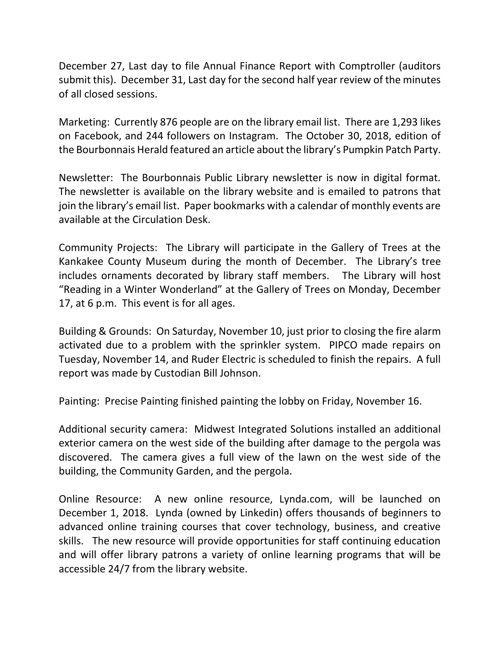December 27, Last day to file Annual Finance Report with Comptroller (auditors submit this). December 31, Last day for the second half year review of the minutes of all closed sessions.

Marketing: Currently 876 people are on the library email list. There are 1,293 likes on Facebook, and 244 followers on Instagram. The October 30, 2018, edition of the Bourbonnais Herald featured an article about the library's Pumpkin Patch Party.

Newsletter: The Bourbonnais Public Library newsletter is now in digital format. The newsletter is available on the library website and is emailed to patrons that join the library's email list. Paper bookmarks with a calendar of monthly events are available at the Circulation Desk.

Community Projects: The Library will participate in the Gallery of Trees at the Kankakee County Museum during the month of December. The Library's tree includes ornaments decorated by library staff members. The Library will host "Reading in a Winter Wonderland" at the Gallery of Trees on Monday, December 17, at 6 p.m. This event is for all ages.

Building & Grounds: On Saturday, November 10, just prior to closing the fire alarm activated due to a problem with the sprinkler system. PIPCO made repairs on Tuesday, November 14, and Ruder Electric is scheduled to finish the repairs. A full report was made by Custodian Bill Johnson.

Painting: Precise Painting finished painting the lobby on Friday, November 16.

Additional security camera: Midwest Integrated Solutions installed an additional exterior camera on the west side of the building after damage to the pergola was discovered. The camera gives a full view of the lawn on the west side of the building, the Community Garden, and the pergola.

Online Resource: A new online resource, Lynda.com, will be launched on December 1, 2018. Lynda (owned by Linkedin) offers thousands of beginners to advanced online training courses that cover technology, business, and creative skills. The new resource will provide opportunities for staff continuing education and will offer library patrons a variety of online learning programs that will be accessible 24/7 from the library website.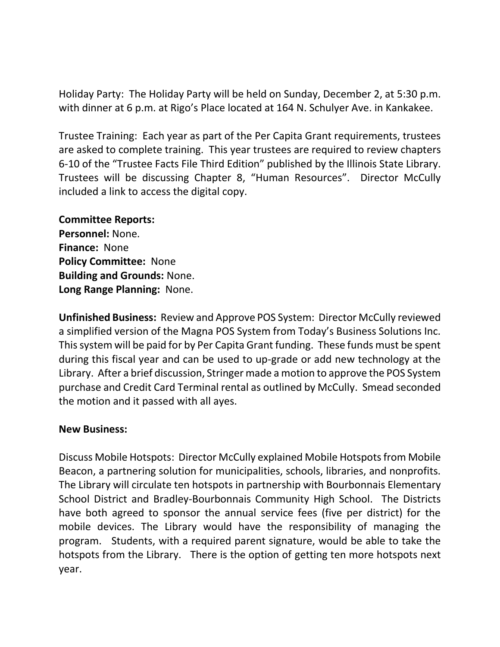Holiday Party: The Holiday Party will be held on Sunday, December 2, at 5:30 p.m. with dinner at 6 p.m. at Rigo's Place located at 164 N. Schulyer Ave. in Kankakee.

Trustee Training: Each year as part of the Per Capita Grant requirements, trustees are asked to complete training. This year trustees are required to review chapters 6-10 of the "Trustee Facts File Third Edition" published by the Illinois State Library. Trustees will be discussing Chapter 8, "Human Resources". Director McCully included a link to access the digital copy.

## **Committee Reports:**

**Personnel:** None. **Finance:** None **Policy Committee:** None **Building and Grounds:** None. **Long Range Planning:** None.

**Unfinished Business:** Review and Approve POS System: Director McCully reviewed a simplified version of the Magna POS System from Today's Business Solutions Inc. This system will be paid for by Per Capita Grant funding. These funds must be spent during this fiscal year and can be used to up-grade or add new technology at the Library. After a brief discussion, Stringer made a motion to approve the POS System purchase and Credit Card Terminal rental as outlined by McCully. Smead seconded the motion and it passed with all ayes.

## **New Business:**

Discuss Mobile Hotspots: Director McCully explained Mobile Hotspots from Mobile Beacon, a partnering solution for municipalities, schools, libraries, and nonprofits. The Library will circulate ten hotspots in partnership with Bourbonnais Elementary School District and Bradley-Bourbonnais Community High School. The Districts have both agreed to sponsor the annual service fees (five per district) for the mobile devices. The Library would have the responsibility of managing the program. Students, with a required parent signature, would be able to take the hotspots from the Library. There is the option of getting ten more hotspots next year.